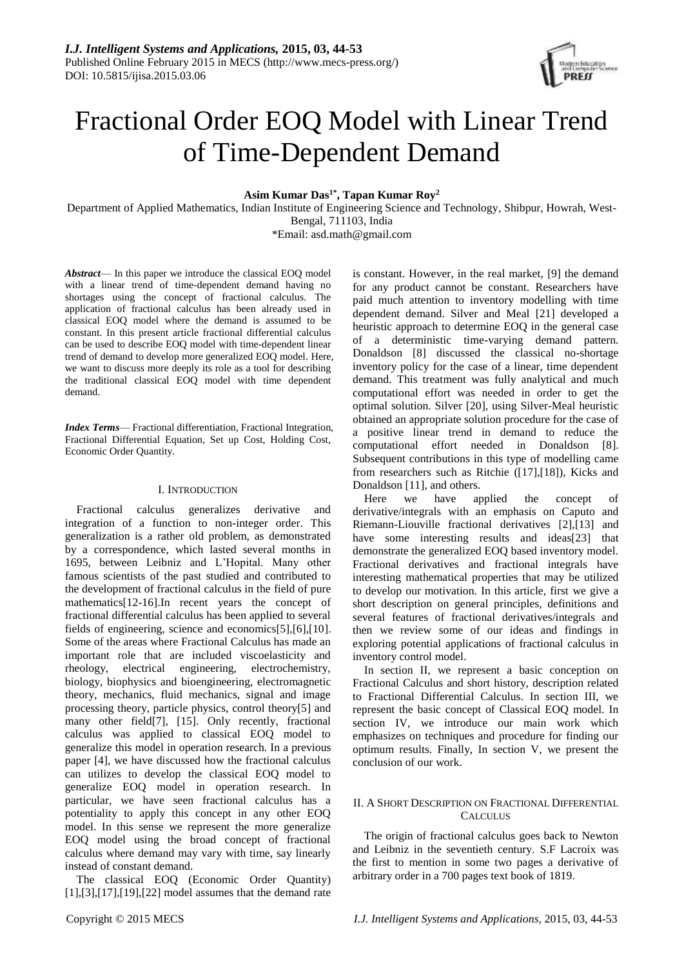

# Fractional Order EOQ Model with Linear Trend of Time-Dependent Demand

**Asim Kumar Das1\* , Tapan Kumar Roy<sup>2</sup>**

Department of Applied Mathematics, Indian Institute of Engineering Science and Technology, Shibpur, Howrah, West-Bengal, 711103, India

\*Email: asd.math@gmail.com

*Abstract*— In this paper we introduce the classical EOQ model with a linear trend of time-dependent demand having no shortages using the concept of fractional calculus. The application of fractional calculus has been already used in classical EOQ model where the demand is assumed to be constant. In this present article fractional differential calculus can be used to describe EOQ model with time-dependent linear trend of demand to develop more generalized EOQ model. Here, we want to discuss more deeply its role as a tool for describing the traditional classical EOQ model with time dependent demand.

*Index Terms*— Fractional differentiation, Fractional Integration, Fractional Differential Equation, Set up Cost, Holding Cost, Economic Order Quantity.

### I. INTRODUCTION

Fractional calculus generalizes derivative and integration of a function to non-integer order. This generalization is a rather old problem, as demonstrated by a correspondence, which lasted several months in 1695, between Leibniz and L'Hopital. Many other famous scientists of the past studied and contributed to the development of fractional calculus in the field of pure mathematics[12-16].In recent years the concept of fractional differential calculus has been applied to several fields of engineering, science and economics[5],[6],[10]. Some of the areas where Fractional Calculus has made an important role that are included viscoelasticity and rheology, electrical engineering, electrochemistry, biology, biophysics and bioengineering, electromagnetic theory, mechanics, fluid mechanics, signal and image processing theory, particle physics, control theory[5] and many other field[7], [15]. Only recently, fractional calculus was applied to classical EOQ model to generalize this model in operation research. In a previous paper [4], we have discussed how the fractional calculus can utilizes to develop the classical EOQ model to generalize EOQ model in operation research. In particular, we have seen fractional calculus has a potentiality to apply this concept in any other EOQ model. In this sense we represent the more generalize EOQ model using the broad concept of fractional calculus where demand may vary with time, say linearly instead of constant demand.

The classical EOQ (Economic Order Quantity) [1],[3],[17],[19],[22] model assumes that the demand rate

is constant. However, in the real market, [9] the demand for any product cannot be constant. Researchers have paid much attention to inventory modelling with time dependent demand. Silver and Meal [21] developed a heuristic approach to determine EOQ in the general case of a deterministic time-varying demand pattern. Donaldson [8] discussed the classical no-shortage inventory policy for the case of a linear, time dependent demand. This treatment was fully analytical and much computational effort was needed in order to get the optimal solution. Silver [20], using Silver-Meal heuristic obtained an appropriate solution procedure for the case of a positive linear trend in demand to reduce the computational effort needed in Donaldson [8]. Subsequent contributions in this type of modelling came from researchers such as Ritchie ([17],[18]), Kicks and Donaldson [11], and others.

Here we have applied the concept of derivative/integrals with an emphasis on Caputo and Riemann-Liouville fractional derivatives [2],[13] and have some interesting results and ideas[23] that demonstrate the generalized EOQ based inventory model. Fractional derivatives and fractional integrals have interesting mathematical properties that may be utilized to develop our motivation. In this article, first we give a short description on general principles, definitions and several features of fractional derivatives/integrals and then we review some of our ideas and findings in exploring potential applications of fractional calculus in inventory control model.

In section II, we represent a basic conception on Fractional Calculus and short history, description related to Fractional Differential Calculus. In section III, we represent the basic concept of Classical EOQ model. In section IV, we introduce our main work which emphasizes on techniques and procedure for finding our optimum results. Finally, In section V, we present the conclusion of our work.

#### II. A SHORT DESCRIPTION ON FRACTIONAL DIFFERENTIAL **CALCULUS**

The origin of fractional calculus goes back to Newton and Leibniz in the seventieth century. S.F Lacroix was the first to mention in some two pages a derivative of arbitrary order in a 700 pages text book of 1819.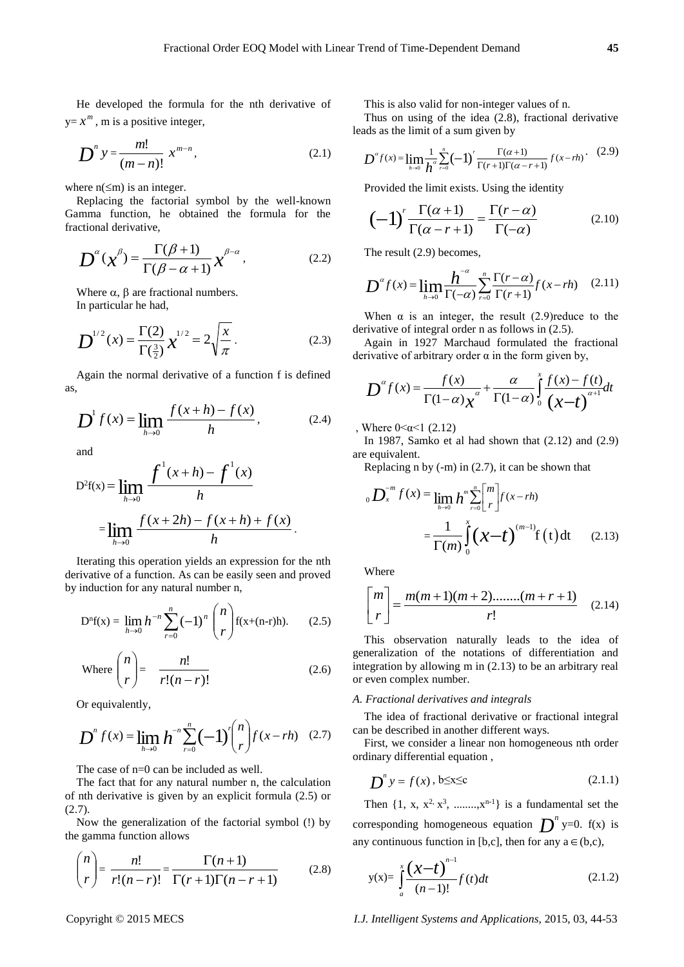He developed the formula for the nth derivative of  $y=x^m$ , m is a positive integer,

$$
D^{n} y = \frac{m!}{(m-n)!} x^{m-n},
$$
 (2.1)

where  $n(\leq m)$  is an integer.

Replacing the factorial symbol by the well-known Gamma function, he obtained the formula for the fractional derivative,

$$
D^{\alpha}(\chi^{\beta}) = \frac{\Gamma(\beta + 1)}{\Gamma(\beta - \alpha + 1)} \chi^{\beta - \alpha},
$$
 (2.2)

Where  $\alpha$ ,  $\beta$  are fractional numbers. In particular he had,

$$
D^{1/2}(x) = \frac{\Gamma(2)}{\Gamma(\frac{3}{2})} x^{1/2} = 2 \sqrt{\frac{x}{\pi}}.
$$
 (2.3)

Again the normal derivative of a function f is defined as,

$$
D^{1} f(x) = \lim_{h \to 0} \frac{f(x+h) - f(x)}{h},
$$
 (2.4)

and

$$
D^{2}f(x) = \lim_{h \to 0} \frac{f^{1}(x+h) - f^{1}(x)}{h}
$$
  
= 
$$
\lim_{h \to 0} \frac{f(x+2h) - f(x+h) + f(x)}{h}.
$$

Iterating this operation yields an expression for the nth derivative of a function. As can be easily seen and proved by induction for any natural number n,

$$
D^{n}f(x) = \lim_{h \to 0} h^{-n} \sum_{r=0}^{n} (-1)^{n} {n \choose r} f(x+(n-r)h).
$$
 (2.5)

Where 
$$
\binom{n}{r} = \frac{n!}{r!(n-r)!}
$$
 (2.6)

Or equivalently,

$$
D^{n} f(x) = \lim_{h \to 0} h^{-n} \sum_{r=0}^{n} (-1)^{r} {n \choose r} f(x - rh) \quad (2.7)
$$

The case of n=0 can be included as well.

The fact that for any natural number n, the calculation of nth derivative is given by an explicit formula (2.5) or (2.7).

Now the generalization of the factorial symbol (!) by the gamma function allows

$$
\binom{n}{r} = \frac{n!}{r!(n-r)!} = \frac{\Gamma(n+1)}{\Gamma(r+1)\Gamma(n-r+1)}\tag{2.8}
$$

This is also valid for non-integer values of n.

Thus on using of the idea (2.8), fractional derivative

Thus on using of the idea (2.8), fractional derivative  
leads as the limit of a sum given by  

$$
D^{\alpha} f(x) = \lim_{h \to 0} \frac{1}{h^{\alpha}} \sum_{r=0}^{n} (-1)^{r} \frac{\Gamma(\alpha+1)}{\Gamma(r+1)\Gamma(\alpha-r+1)} f(x-rh) \qquad (2.9)
$$

Provided the limit exists. Using the identity

$$
(-1)^{r} \frac{\Gamma(\alpha+1)}{\Gamma(\alpha-r+1)} = \frac{\Gamma(r-\alpha)}{\Gamma(-\alpha)}
$$
(2.10)

The result (2.9) becomes,

The result (2.9) becomes,  

$$
D^{\alpha} f(x) = \lim_{h \to 0} \frac{h^{-\alpha}}{\Gamma(-\alpha)} \sum_{r=0}^{n} \frac{\Gamma(r-\alpha)}{\Gamma(r+1)} f(x-rh) \quad (2.11)
$$

When  $\alpha$  is an integer, the result (2.9) reduce to the derivative of integral order n as follows in (2.5).

Again in 1927 Marchaud formulated the fractional

derivative of arbitrary order 
$$
\alpha
$$
 in the form given by,  
\n
$$
D^{\alpha} f(x) = \frac{f(x)}{\Gamma(1-\alpha)x^{\alpha}} + \frac{\alpha}{\Gamma(1-\alpha)} \int_{0}^{x} \frac{f(x) - f(t)}{(x-t)^{\alpha+1}} dt
$$

, Where  $0 < \alpha < 1$  (2.12)

In 1987, Samko et al had shown that (2.12) and (2.9) are equivalent.

Replacing n by (-m) in (2.7), it can be shown that

$$
{}_{0}D_{x}^{-m} f(x) = \lim_{h \to 0} h^{m} \sum_{r=0}^{n} {m \brack r} f(x - rh)
$$

$$
= \frac{1}{\Gamma(m)} \int_{0}^{x} (\mathbf{x} - t)^{(m-1)} f(t) dt \qquad (2.13)
$$

Where

$$
\begin{bmatrix} m \\ r \end{bmatrix} = \frac{m(m+1)(m+2) \dots (m+r+1)}{r!}
$$
 (2.14)

This observation naturally leads to the idea of generalization of the notations of differentiation and integration by allowing m in (2.13) to be an arbitrary real or even complex number.

#### *A. Fractional derivatives and integrals*

The idea of fractional derivative or fractional integral can be described in another different ways.

First, we consider a linear non homogeneous nth order ordinary differential equation ,

$$
\mathbf{D}^n y = f(x), \mathbf{b} \le x \le c \tag{2.1.1}
$$

Then  $\{1, x, x^2, x^3, \dots, x^{n-1}\}$  is a fundamental set the corresponding homogeneous equation  $\boldsymbol{D}^n$  y=0. f(x) is any continuous function in [b,c], then for any  $a \in (b,c)$ ,

$$
y(x) = \int_{a}^{x} \frac{(x-t)^{n-1}}{(n-1)!} f(t)dt
$$
 (2.1.2)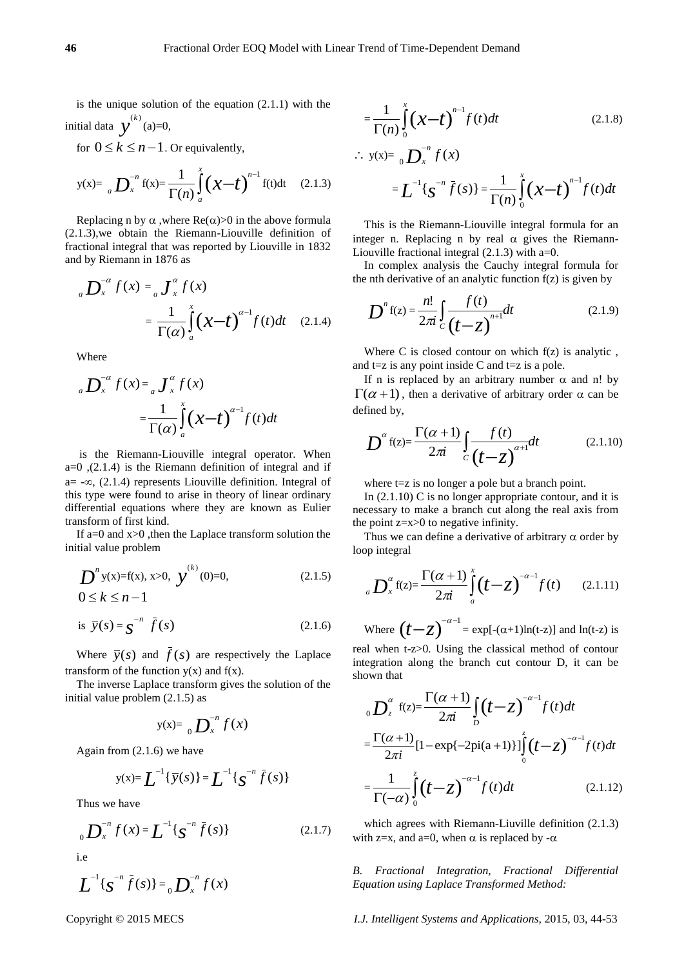is the unique solution of the equation  $(2.1.1)$  with the initial data  $y^{(k)}$  (a)=0,

for  $0 \le k \le n-1$ . Or equivalently,

$$
y(x) = \binom{n}{a} \sum_{x=1}^{-n} f(x) = \frac{1}{\Gamma(n)} \int_{a}^{x} (x - t)^{n-1} f(t) dt \qquad (2.1.3)
$$

Replacing n by  $\alpha$ , where  $Re(\alpha) > 0$  in the above formula (2.1.3),we obtain the Riemann-Liouville definition of fractional integral that was reported by Liouville in 1832 and by Riemann in 1876 as

$$
{}_{a}D_{x}^{-\alpha}f(x) = {}_{a}J_{x}^{\alpha}f(x)
$$

$$
= \frac{1}{\Gamma(\alpha)} \int_{a}^{x} (x-t)^{\alpha-1} f(t)dt \quad (2.1.4)
$$

Where

$$
{}_{a}D_{x}^{-\alpha}f(x) = {}_{a}J_{x}^{\alpha}f(x)
$$
  

$$
= \frac{1}{\Gamma(\alpha)} \int_{a}^{x} (x-t)^{\alpha-1} f(t)dt
$$

is the Riemann-Liouville integral operator. When  $a=0$ ,  $(2.1.4)$  is the Riemann definition of integral and if  $a=-\infty$ , (2.1.4) represents Liouville definition. Integral of this type were found to arise in theory of linear ordinary differential equations where they are known as Eulier transform of first kind.

If a=0 and  $x>0$ , then the Laplace transform solution the initial value problem

$$
D^{n} y(x)=f(x), x>0, y^{(k)}(0)=0,
$$
  
0\le k\le n-1 (2.1.5)

is 
$$
\overline{y}(s) = \mathbf{s}^{-n} \overline{f}(s)
$$
 (2.1.6)

Where  $\bar{y}(s)$  and  $f(s)$  are respectively the Laplace transform of the function  $y(x)$  and  $f(x)$ .

The inverse Laplace transform gives the solution of the initial value problem (2.1.5) as

$$
y(x)=\ _{0}\mathbf{D}_{x}^{-n}f(x)
$$

Again from (2.1.6) we have

$$
y(x) = \int_{0}^{-1} {\bar{y}(s)} = \int_{0}^{-1} {\bar{y}(s)}
$$

Thus we have

$$
{}_{0}\mathbf{D}_{x}^{-n}f(x) = \mathbf{L}^{-1}\{\mathbf{S}^{-n}\bar{f}(s)\}
$$
 (2.1.7)

i.e

$$
L^{-1}\{s^{-n}\bar{f}(s)\} = {}_{0}D_{x}^{-n}f(x)
$$

$$
=\frac{1}{\Gamma(n)}\int_{0}^{x} (x-t)^{n-1} f(t)dt
$$
 (2.1.8)

$$
\therefore y(x) = \binom{n}{0} \sum_{x=0}^{-n} f(x)
$$

$$
= L^{-1} \{ g^{-n} \bar{f}(s) \} = \frac{1}{\Gamma(n)} \int_{0}^{x} (x - t)^{n-1} f(t) dt
$$

This is the Riemann-Liouville integral formula for an integer n. Replacing n by real  $\alpha$  gives the Riemann-Liouville fractional integral (2.1.3) with a=0.

In complex analysis the Cauchy integral formula for the nth derivative of an analytic function  $f(z)$  is given by

$$
D^{n} f(z) = \frac{n!}{2\pi i} \int_{C} \frac{f(t)}{(t-z)^{n+1}} dt
$$
 (2.1.9)

Where C is closed contour on which  $f(z)$  is analytic, and  $t=z$  is any point inside C and  $t=z$  is a pole.

If n is replaced by an arbitrary number  $\alpha$  and n! by  $\Gamma(\alpha + 1)$ , then a derivative of arbitrary order  $\alpha$  can be defined by,

$$
D^{\alpha} f(z) = \frac{\Gamma(\alpha+1)}{2\pi i} \int_{C} \frac{f(t)}{(t-z)^{\alpha+1}} dt
$$
 (2.1.10)

where  $t=z$  is no longer a pole but a branch point.

In (2.1.10) C is no longer appropriate contour, and it is necessary to make a branch cut along the real axis from the point z=x>0 to negative infinity.

Thus we can define a derivative of arbitrary  $\alpha$  order by loop integral

$$
{}_{a}D_{x}^{\alpha}\mathbf{f}(z) = \frac{\Gamma(\alpha+1)}{2\pi i}\int_{a}^{x}(t-z)^{-\alpha-1}f(t) \qquad (2.1.11)
$$

Where  $(t-z)^{-\alpha-1} = \exp[-(\alpha+1)\ln(t-z)]$  and  $\ln(t-z)$  is real when t-z>0. Using the classical method of contour

integration along the branch cut contour D, it can be shown that

$$
{}_{0}D_{z}^{\alpha} f(z) = \frac{\Gamma(\alpha+1)}{2\pi i} \int_{D} (t-z)^{-\alpha-1} f(t) dt
$$
  

$$
= \frac{\Gamma(\alpha+1)}{2\pi i} [1 - \exp\{-2\pi i (a+1)\}] \int_{0}^{z} (t-z)^{-\alpha-1} f(t) dt
$$
  

$$
= \frac{1}{\Gamma(-\alpha)} \int_{0}^{z} (t-z)^{-\alpha-1} f(t) dt
$$
 (2.1.12)

which agrees with Riemann-Liuville definition  $(2.1.3)$ with z=x, and a=0, when  $\alpha$  is replaced by - $\alpha$ 

*B. Fractional Integration, Fractional Differential Equation using Laplace Transformed Method:*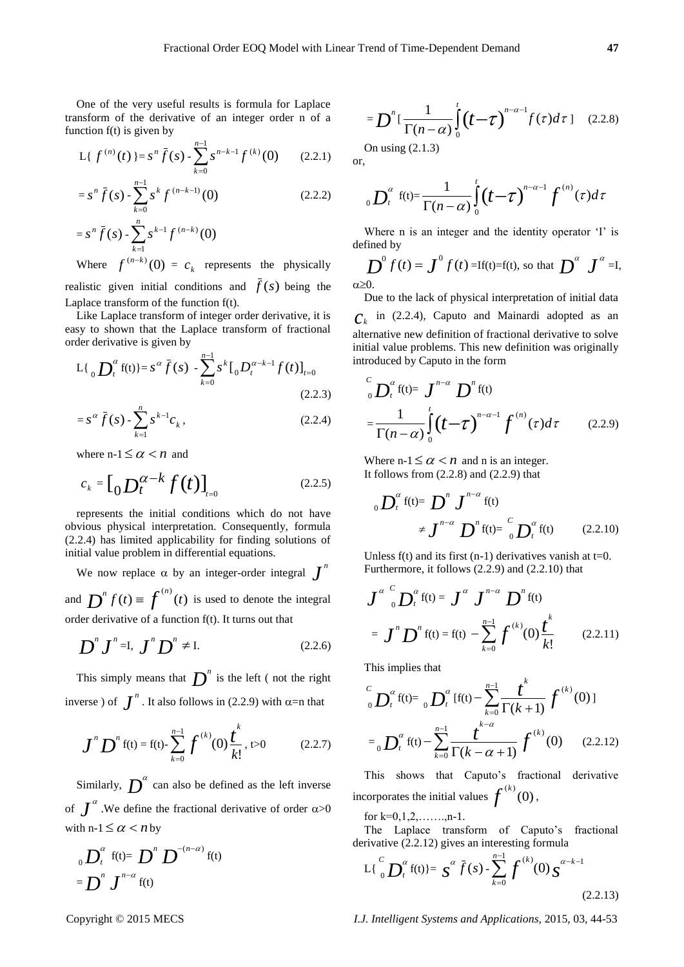One of the very useful results is formula for Laplace transform of the derivative of an integer order n of a function f(t) is given by

$$
L\{f^{(n)}(t)\}=s^n\bar{f}(s)-\sum_{k=0}^{n-1}s^{n-k-1}f^{(k)}(0)\qquad(2.2.1)
$$

$$
= sn \bar{f}(s) - \sum_{k=0}^{n-1} sk f(n-k-1)(0)
$$
 (2.2.2)  

$$
= sn \bar{f}(s) - \sum_{k=1}^{n} sk-1 f(n-k)(0)
$$

Where  $f^{(n-k)}(0) = c_k$  represents the physically realistic given initial conditions and  $f(s)$  being the Laplace transform of the function f(t).

Like Laplace transform of integer order derivative, it is easy to shown that the Laplace transform of fractional order derivative is given by

$$
L\{\, {}_{0}\mathbf{D}_{t}^{\alpha}\,f(t)\} = s^{\alpha}\,\bar{f}(s) - \sum_{k=0}^{n-1} s^k\,[{}_{0}\mathbf{D}_{t}^{\alpha-k-1}f(t)\,]_{t=0}
$$
\n(2.2.3)

$$
= s^{\alpha} \bar{f}(s) - \sum_{k=1}^{n} s^{k-1} c_k,
$$
 (2.2.4)

where  $n-1 \leq \alpha < n$  and

$$
c_k = \left[ \int_0^{\infty} D_t^{\alpha - k} f(t) \right]_{t=0}
$$
 (2.2.5)

represents the initial conditions which do not have obvious physical interpretation. Consequently, formula (2.2.4) has limited applicability for finding solutions of initial value problem in differential equations.

We now replace  $\alpha$  by an integer-order integral  $\boldsymbol{J}^n$ and  $\sum^n f(t) \equiv \int^{(n)}(t)$  is used to denote the integral order derivative of a function f(t). It turns out that

$$
D^{\prime\prime} J^{\prime\prime} = I, J^{\prime\prime} D^{\prime\prime} \neq I. \tag{2.2.6}
$$

This simply means that  $\boldsymbol{D}^n$  is the left (not the right inverse) of  $\int^n$ . It also follows in (2.2.9) with  $\alpha$ =n that

$$
\boldsymbol{J}^n \boldsymbol{D}^n \operatorname{f}(t) = \operatorname{f}(t) - \sum_{k=0}^{n-1} \boldsymbol{f}^{(k)}(0) \frac{\boldsymbol{t}^k}{k!}, t > 0 \qquad (2.2.7)
$$

Similarly,  $D^{\alpha}$  can also be defined as the left inverse of  $\int^{\alpha}$ . We define the fractional derivative of order  $\alpha > 0$ with  $n-1 \leq \alpha < n$  by

$$
{}_{0}D_{t}^{\alpha} f(t) = D^{n} D^{-\left(n-\alpha\right)} f(t)
$$

$$
= D^{n} J^{n-\alpha} f(t)
$$

$$
= D^n \left[ \frac{1}{\Gamma(n-\alpha)} \int_0^t \left( t - \tau \right)^{n-\alpha-1} f(\tau) d\tau \right] \quad (2.2.8)
$$

On using (2.1.3) or,

$$
_{0}D_{t}^{\alpha}\text{ f(t)}=\frac{1}{\Gamma(n-\alpha)}\int_{0}^{t}(t-\tau)^{n-\alpha-1}f^{(n)}(\tau)d\tau
$$

Where n is an integer and the identity operator 'I' is defined by

$$
\sum_{\alpha \ge 0} \int_0^0 f(t) = \int_0^0 f(t) = \text{If(t)} = \text{f(t)}, \text{ so that } \sum_{\alpha \ge 0} \int_0^{\alpha} f(t) \, dt = \int_0^{\alpha} \int_0^{\alpha} f(t) \, dt
$$

Due to the lack of physical interpretation of initial data  $c_k$  in (2.2.4), Caputo and Mainardi adopted as an alternative new definition of fractional derivative to solve initial value problems. This new definition was originally introduced by Caputo in the form

$$
\int_{0}^{C} D_t^{\alpha} f(t) = J^{n-\alpha} D^{n} f(t)
$$

$$
= \frac{1}{\Gamma(n-\alpha)} \int_{0}^{t} (t-\tau)^{n-\alpha-1} f^{(n)}(\tau) d\tau \qquad (2.2.9)
$$

Where  $n-1 \leq \alpha < n$  and n is an integer. It follows from  $(2.2.8)$  and  $(2.2.9)$  that

$$
{}_{0}D_{t}^{\alpha} f(t) = D^{n} J^{n-\alpha} f(t)
$$
  

$$
\neq J^{n-\alpha} D^{n} f(t) = {}_{0}^{c} D_{t}^{\alpha} f(t) \qquad (2.2.10)
$$

Unless  $f(t)$  and its first (n-1) derivatives vanish at t=0. Furthermore, it follows (2.2.9) and (2.2.10) that

$$
\boldsymbol{J}^{\alpha} \, \, \int_{0}^{C} \boldsymbol{D}_{t}^{\alpha} \, f(t) = \boldsymbol{J}^{\alpha} \, \boldsymbol{J}^{n-\alpha} \, \boldsymbol{D}^{n} \, f(t)
$$
\n
$$
= \boldsymbol{J}^{n} \, \boldsymbol{D}^{n} \, f(t) = f(t) - \sum_{k=0}^{n-1} \, \boldsymbol{f}^{(k)}(0) \, \boldsymbol{t}^{k}_{k!} \qquad (2.2.11)
$$

This implies that

$$
\int_{0}^{C} D_t^{\alpha} f(t) = \int_{0}^{\alpha} D_t^{\alpha} [f(t) - \sum_{k=0}^{n-1} \frac{t^k}{\Gamma(k+1)} f^{(k)}(0)]
$$

$$
= \int_{0}^{\alpha} D_t^{\alpha} f(t) - \sum_{k=0}^{n-1} \frac{t^{k-\alpha}}{\Gamma(k-\alpha+1)} f^{(k)}(0) \qquad (2.2.12)
$$

This shows that Caputo's fractional derivative incorporates the initial values  $f^{(k)}(0)$ ,

for k=0,1,2,…….,n-1.

The Laplace transform of Caputo's fractional derivative (2.2.12) gives an interesting formula

$$
L\left\{\int_{0}^{C} \mathbf{D}_{t}^{\alpha} f(t)\right\} = \mathbf{S}^{\alpha} \bar{f}(s) - \sum_{k=0}^{n-1} \mathbf{f}^{(k)}(0) \mathbf{S}^{\alpha-k-1} \tag{2.2.13}
$$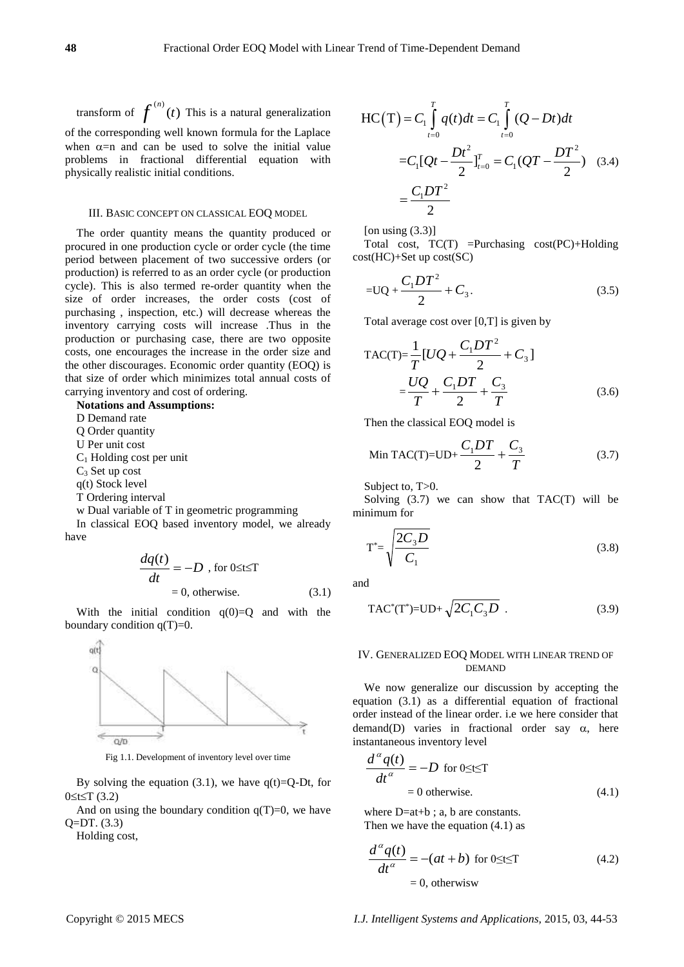transform of  $f^{(n)}(t)$  This is a natural generalization of the corresponding well known formula for the Laplace when  $\alpha$ =n and can be used to solve the initial value problems in fractional differential equation with physically realistic initial conditions.

#### III. BASIC CONCEPT ON CLASSICAL EOQ MODEL

The order quantity means the quantity produced or procured in one production cycle or order cycle (the time period between placement of two successive orders (or production) is referred to as an order cycle (or production cycle). This is also termed re-order quantity when the size of order increases, the order costs (cost of purchasing , inspection, etc.) will decrease whereas the inventory carrying costs will increase .Thus in the production or purchasing case, there are two opposite costs, one encourages the increase in the order size and the other discourages. Economic order quantity (EOQ) is that size of order which minimizes total annual costs of carrying inventory and cost of ordering.

#### **Notations and Assumptions:**

D Demand rate

Q Order quantity

U Per unit cost

C<sup>1</sup> Holding cost per unit

C<sup>3</sup> Set up cost

q(t) Stock level

T Ordering interval

w Dual variable of T in geometric programming

In classical EOQ based inventory model, we already have

$$
\frac{dq(t)}{dt} = -D, \text{ for } 0 \le t \le T
$$
  
= 0, otherwise. (3.1)

With the initial condition  $q(0)=0$  and with the boundary condition  $q(T)=0$ .



Fig 1.1. Development of inventory level over time

By solving the equation (3.1), we have  $q(t)=Q-Dt$ , for  $0 \le t \le T(3.2)$ 

And on using the boundary condition  $q(T)=0$ , we have Q=DT. (3.3)

Holding cost,

$$
\begin{aligned} \text{HC}\left(\text{T}\right) &= C_1 \int_{t=0}^{T} q(t)dt = C_1 \int_{t=0}^{T} (Q - Dt)dt \\ &= C_1 [Qt - \frac{Dt^2}{2}]_{t=0}^{T} = C_1 (QT - \frac{DT^2}{2}) \quad (3.4) \\ &= \frac{C_1 DT^2}{2} \end{aligned}
$$

[on using  $(3.3)$ ]

Total cost, TC(T) =Purchasing cost(PC)+Holding cost(HC)+Set up cost(SC)

$$
=UQ + \frac{C_1DT^2}{2} + C_3.
$$
 (3.5)

Total average cost over [0,T] is given by

TAC(T)=
$$
\frac{1}{T}
$$
[UQ +  $\frac{C_1DT^2}{2}$  + C<sub>3</sub>]  
= $\frac{UQ}{T}$  +  $\frac{C_1DT}{2}$  +  $\frac{C_3}{T}$  (3.6)

Then the classical EOQ model is

$$
\text{Min TAC}(T) = \text{UD} + \frac{C_1 DT}{2} + \frac{C_3}{T} \tag{3.7}
$$

Subject to, T > 0.

Solving  $(3.7)$  we can show that TAC $(T)$  will be minimum for

$$
T^* = \sqrt{\frac{2C_3 D}{C_1}}
$$
\n(3.8)

and

$$
\text{TAC}^*(\text{T}^*)=\text{UD}+\sqrt{2C_1C_3D} \tag{3.9}
$$

#### IV. GENERALIZED EOQ MODEL WITH LINEAR TREND OF DEMAND

We now generalize our discussion by accepting the equation (3.1) as a differential equation of fractional order instead of the linear order. i.e we here consider that demand(D) varies in fractional order say  $\alpha$ , here instantaneous inventory level

$$
\frac{d^{\alpha}q(t)}{dt^{\alpha}} = -D \text{ for } 0 \le t \le T
$$
  
= 0 otherwise. (4.1)

where D=at+b ; a, b are constants. Then we have the equation (4.1) as

$$
\frac{d^{\alpha}q(t)}{dt^{\alpha}} = -(at+b) \text{ for } 0 \le t \le T
$$
\n
$$
= 0, \text{ otherwise}
$$
\n(4.2)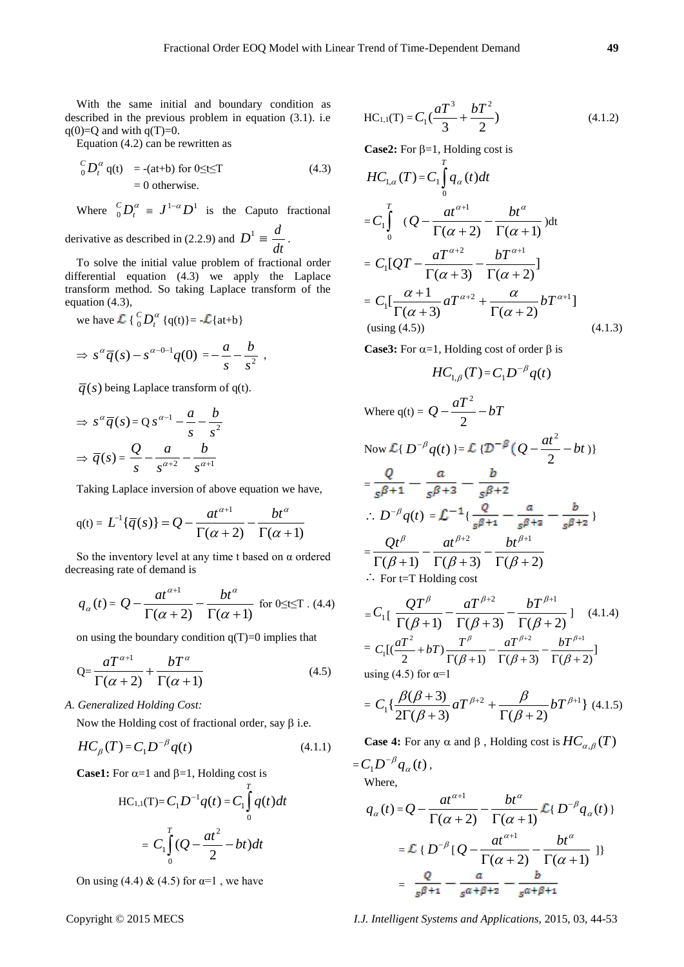With the same initial and boundary condition as described in the previous problem in equation (3.1). i.e  $q(0)=Q$  and with  $q(T)=0$ .

Equation (4.2) can be rewritten as

$$
\begin{aligned} \n C_D^C D_t^\alpha \, \mathbf{q}(t) &= -(at+b) \text{ for } 0 \le t \le T \\ \n&= 0 \text{ otherwise.} \n\end{aligned} \tag{4.3}
$$

Where  $\int_{0}^{c} D_t^{\alpha}$  ${}^C_0 D_t^{\alpha} \equiv J^{1-\alpha} D^1$  is the Caputo fractional

derivative as described in (2.2.9) and  $D^1 \equiv$ *dt d* .

To solve the initial value problem of fractional order differential equation (4.3) we apply the Laplace transform method. So taking Laplace transform of the equation (4.3),

we have  $\mathcal{L} \{ \begin{array}{c} c \\ 0 \end{array} D_t^u$  ${}_{0}^{C}D_{t}^{\alpha}$  {q(t)}= - $\mathcal{L}$ {at+b}

$$
\Rightarrow s^{\alpha}\overline{q}(s)-s^{\alpha-0-1}q(0)=-\frac{a}{s}-\frac{b}{s^2},
$$

 $\overline{q}(s)$  being Laplace transform of q(t).

$$
\Rightarrow s^{\alpha}\overline{q}(s) = Q s^{\alpha-1} - \frac{a}{s} - \frac{b}{s^2}
$$

$$
\Rightarrow \overline{q}(s) = \frac{Q}{s} - \frac{a}{s^{\alpha+2}} - \frac{b}{s^{\alpha+1}}
$$

Taking Laplace inversion of above equation we have,

$$
q(t) = L^{-1}\{\overline{q}(s)\} = Q - \frac{at^{\alpha+1}}{\Gamma(\alpha+2)} - \frac{bt^{\alpha}}{\Gamma(\alpha+1)}
$$

So the inventory level at any time t based on  $\alpha$  ordered decreasing rate of demand is

$$
q_{\alpha}(t) = Q - \frac{at^{\alpha+1}}{\Gamma(\alpha+2)} - \frac{bt^{\alpha}}{\Gamma(\alpha+1)}
$$
 for 0 \le t \le T. (4.4)

on using the boundary condition  $q(T)=0$  implies that

$$
Q = \frac{aT^{\alpha+1}}{\Gamma(\alpha+2)} + \frac{bT^{\alpha}}{\Gamma(\alpha+1)}
$$
(4.5)

*A. Generalized Holding Cost:*

Now the Holding cost of fractional order, say  $\beta$  i.e.

$$
HC_{\beta}(T) = C_1 D^{-\beta} q(t) \tag{4.1.1}
$$

**Case1:** For  $\alpha=1$  and  $\beta=1$ , Holding cost is

$$
\text{HC}_{1,1}(\text{T}) = C_1 D^{-1} q(t) = C_1 \int_0^T q(t) dt
$$

$$
= C_1 \int_0^T (Q - \frac{at^2}{2} - bt) dt
$$

On using (4.4) & (4.5) for  $\alpha=1$ , we have

$$
HC_{1,1}(T) = C_1 \left(\frac{aT^3}{3} + \frac{bT^2}{2}\right)
$$
 (4.1.2)

**Case2:** For  $\beta=1$ , Holding cost is

$$
HC_{1,\alpha}(T) = C_1 \int_0^T q_{\alpha}(t) dt
$$
  
\n
$$
= C_1 \int_0^T (Q - \frac{at^{\alpha+1}}{\Gamma(\alpha+2)} - \frac{bt^{\alpha}}{\Gamma(\alpha+1)}) dt
$$
  
\n
$$
= C_1 [QT - \frac{aT^{\alpha+2}}{\Gamma(\alpha+3)} - \frac{bT^{\alpha+1}}{\Gamma(\alpha+2)}]
$$
  
\n
$$
= C_1 [\frac{\alpha+1}{\Gamma(\alpha+3)} aT^{\alpha+2} + \frac{\alpha}{\Gamma(\alpha+2)} bT^{\alpha+1}]
$$
  
\n(using (4.5)) (4.1.3)

**Case3:** For  $\alpha=1$ , Holding cost of order  $\beta$  is

$$
HC_{1,\beta}(T) = C_1 D^{-\beta} q(t)
$$

Where 
$$
q(t) = Q - \frac{aT^2}{2} - bT
$$
  
\nNow  $\mathcal{L}{D^{-\beta} q(t)} = \mathcal{L}{\{\mathcal{D}^{-\beta} (Q - \frac{at^2}{2} - bt)\}}$   
\n $= \frac{Q}{s^{\beta+1}} - \frac{a}{s^{\beta+3}} - \frac{b}{s^{\beta+2}}$   
\n $\therefore D^{-\beta} q(t) = \mathcal{L}^{-1}{\{\frac{Q}{s^{\beta+1}} - \frac{a}{s^{\beta+2}} - \frac{b}{s^{\beta+2}}\}}$   
\n $= \frac{Qt^{\beta}}{\Gamma(\beta+1)} - \frac{at^{\beta+2}}{\Gamma(\beta+3)} - \frac{bt^{\beta+1}}{\Gamma(\beta+2)}$   
\n $\therefore$  For t=T Holding cost

$$
=C_{1}\left[\frac{QT^{\beta}}{\Gamma(\beta+1)}-\frac{aT^{\beta+2}}{\Gamma(\beta+3)}-\frac{bT^{\beta+1}}{\Gamma(\beta+2)}\right] \quad (4.1.4)
$$

$$
=C_{1}\left[\left(\frac{aT^{2}}{2}+bT\right)\frac{T^{\beta}}{\Gamma(\beta+1)}-\frac{aT^{\beta+2}}{\Gamma(\beta+3)}-\frac{bT^{\beta+1}}{\Gamma(\beta+2)}\right]
$$

using  $(4.5)$  for  $\alpha=1$ 

$$
= C_1 \left\{ \frac{\beta(\beta+3)}{2\Gamma(\beta+3)} aT^{\beta+2} + \frac{\beta}{\Gamma(\beta+2)} bT^{\beta+1} \right\} (4.1.5)
$$

**Case 4:** For any  $\alpha$  and  $\beta$  , Holding cost is  $HC_{\alpha,\beta}(T)$ 

$$
=C_1 D^{-\beta} q_\alpha(t),
$$
  
Where,

$$
q_{\alpha}(t) = Q - \frac{at^{\alpha+1}}{\Gamma(\alpha+2)} - \frac{bt^{\alpha}}{\Gamma(\alpha+1)} \mathcal{L}\lbrace D^{-\beta}q_{\alpha}(t) \rbrace
$$
  

$$
= \mathcal{L}\lbrace D^{-\beta} [Q - \frac{at^{\alpha+1}}{\Gamma(\alpha+2)} - \frac{bt^{\alpha}}{\Gamma(\alpha+1)} \rbrace
$$
  

$$
= \frac{Q}{s^{\beta+1}} - \frac{a}{s^{\alpha+\beta+2}} - \frac{b}{s^{\alpha+\beta+1}}
$$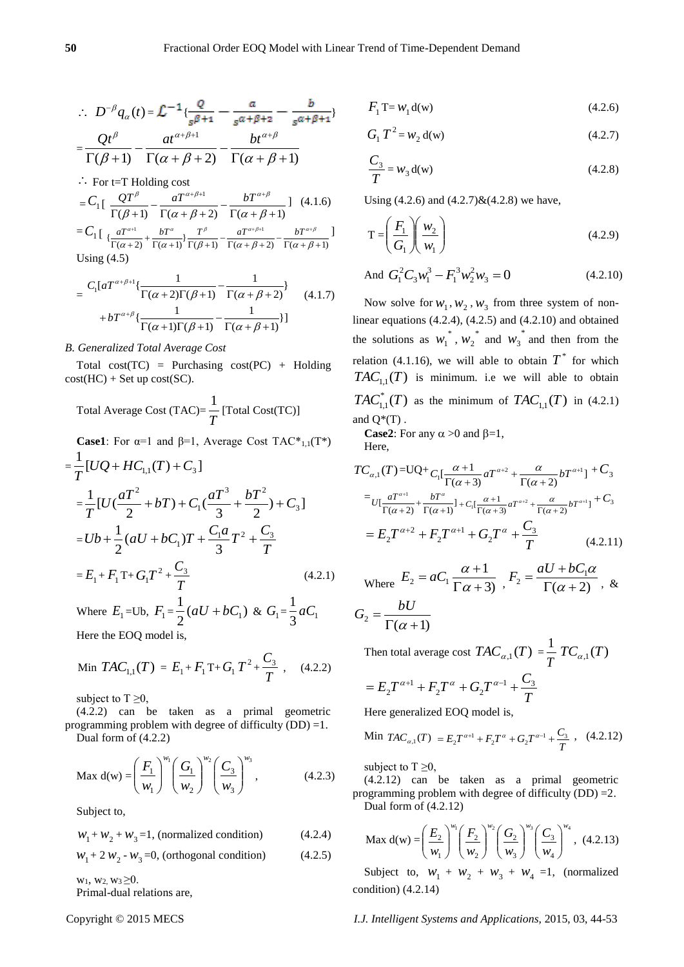]

$$
\therefore D^{-\beta}q_{\alpha}(t) = \mathcal{L}^{-1}\left\{\frac{Q}{s^{\beta+1}} - \frac{a}{s^{\alpha+\beta+2}} - \frac{b}{s^{\alpha+\beta+1}}\right\}
$$

$$
Qt^{\beta} \qquad at^{\alpha+\beta+1} \qquad bt^{\alpha+\beta}
$$

$$
=\frac{Q'}{\Gamma(\beta+1)}-\frac{u'}{\Gamma(\alpha+\beta+2)}-\frac{v'}{\Gamma(\alpha+\beta+1)}
$$

$$
\therefore
$$
 For t=T Holding cost

$$
=C_{1}\left[\frac{QT^{\beta}}{\Gamma(\beta+1)}-\frac{aT^{\alpha+\beta+1}}{\Gamma(\alpha+\beta+2)}-\frac{bT^{\alpha+\beta}}{\Gamma(\alpha+\beta+1)}\right] (4.1.6)
$$
  

$$
=C_{1}\left[\frac{aT^{\alpha+1}}{\Gamma(\alpha+2)}+\frac{bT^{\alpha}}{\Gamma(\alpha+1)}\right]\frac{T^{\beta}}{\Gamma(\beta+1)}-\frac{aT^{\alpha+\beta+1}}{\Gamma(\alpha+\beta+2)}-\frac{bT^{\alpha+\beta}}{\Gamma(\alpha+\beta+1)}
$$

Using (4.5)

Using (4.5)  
\n
$$
= \frac{C_1[aT^{\alpha+\beta+1}\left\{\frac{1}{\Gamma(\alpha+2)\Gamma(\beta+1)} - \frac{1}{\Gamma(\alpha+\beta+2)}\right\}}{1 + bT^{\alpha+\beta}\left\{\frac{1}{\Gamma(\alpha+1)\Gamma(\beta+1)} - \frac{1}{\Gamma(\alpha+\beta+1)}\right\}} \quad (4.1.7)
$$

## *B. Generalized Total Average Cost*

Total  $cost(TC)$  = Purchasing  $cost(PC)$  + Holding  $cost(HC) + Set up cost(SC).$ 

Total Average Cost (TAC)= 
$$
\frac{1}{T}
$$
 [Total Cost(TC)]

**Case1**: For  $\alpha=1$  and  $\beta=1$ , Average Cost TAC<sup>\*</sup><sub>1,1</sub>(T<sup>\*</sup>)  $=\frac{1}{T}[UQ+HC_{1,1}(T)+C_3]$ +  $HC_{11}(T)$  +  $=\frac{1}{\pi}[U(\frac{u_1}{2}+bT)+C_1(\frac{u_1}{2}+\frac{bT}{2})+C_3]$ 3 2  $)+C_{1}$ ( 2  $\frac{1}{2}$ [U( 3 <sup>3</sup>  $\mathbf{k}T^2$ 1 2  $U(\frac{aT^2}{2} + bT) + C_1(\frac{aT^3}{2} + \frac{bT^2}{2}) + C$ *T*  $(+bT) + C_1(\frac{at}{2} + \frac{bt}{2}) +$  $=Ub + \frac{1}{2}(aU + bC_1)T + \frac{1}{3}T^2 + \frac{1}{T}$  $Ub + \frac{1}{2}(aU + bC_1)T + \frac{C_1a}{3}T^2 + \frac{C_3}{T}$  $(aU + bC_1)$ 2  $+\frac{1}{2}(aU+bC_1)T+\frac{C_1a}{2}T^2+$  $=E_1 + F_1 T + G_1 T^2 +$ *T*  $C<sub>3</sub>$  (4.2.1) Where  $E_1 = Ub$ ,  $F_1 = \frac{1}{2}(aU + bC_1)$ 2  $\frac{1}{2}(aU + bC_1) \& G_1 = \frac{1}{3}aC_1$  $\frac{1}{2}aC$ 

Here the EOQ model is,

Min 
$$
TAC_{1,1}(T) = E_1 + F_1 T + G_1 T^2 + \frac{C_3}{T}
$$
, (4.2.2)

subject to  $T \geq 0$ ,

(4.2.2) can be taken as a primal geometric programming problem with degree of difficulty  $(DD) = 1$ . Dual form of (4.2.2)

$$
\text{Max d}(w) = \left(\frac{F_1}{w_1}\right)^{w_1} \left(\frac{G_1}{w_2}\right)^{w_2} \left(\frac{C_3}{w_3}\right)^{w_3},\tag{4.2.3}
$$

Subject to,

$$
W_1 + W_2 + W_3 = 1, \text{ (normalized condition)} \tag{4.2.4}
$$

$$
W_1 + 2 W_2 - W_3 = 0
$$
, (orthogonal condition) (4.2.5)

 $w_1, w_2, w_3 \geq 0.$ 

Primal-dual relations are,

$$
F_1 \mathbf{T} = w_1 \mathbf{d}(\mathbf{w}) \tag{4.2.6}
$$

$$
G_1 T^2 = w_2 d(w) \tag{4.2.7}
$$

$$
\frac{C_3}{T} = W_3 \mathbf{d}(\mathbf{w})\tag{4.2.8}
$$

Using  $(4.2.6)$  and  $(4.2.7)$  &  $(4.2.8)$  we have,

$$
T = \left(\frac{F_1}{G_1}\right)\left(\frac{w_2}{w_1}\right) \tag{4.2.9}
$$

And 
$$
G_1^2 C_3 w_1^3 - F_1^3 w_2^2 w_3 = 0
$$
 (4.2.10)

Now solve for  $W_1, W_2, W_3$  from three system of nonlinear equations (4.2.4), (4.2.5) and (4.2.10) and obtained the solutions as  $w_1^*$ ,  $w_2^*$  and  $w_3^*$  and then from the relation (4.1.16), we will able to obtain  $T^*$  for which  $TAC_{1,1}(T)$  is minimum. i.e we will able to obtain  $TAC_{1,1}^*(T)$  as the minimum of  $TAC_{1,1}(T)$  in (4.2.1) and  $Q^*(T)$ .

**Case2**: For any  $\alpha > 0$  and  $\beta = 1$ , Here,

$$
TC_{\alpha,1}(T) = UQ + C_1 \left[ \frac{\alpha + 1}{\Gamma(\alpha + 3)} aT^{\alpha + 2} + \frac{\alpha}{\Gamma(\alpha + 2)} bT^{\alpha + 1} \right] + C_3
$$
  
\n
$$
= U \left[ \frac{aT^{\alpha + 1}}{\Gamma(\alpha + 2)} + \frac{bT^{\alpha}}{\Gamma(\alpha + 1)} \right] + C_1 \left[ \frac{\alpha + 1}{\Gamma(\alpha + 3)} aT^{\alpha + 2} + \frac{\alpha}{\Gamma(\alpha + 2)} bT^{\alpha + 1} \right] + C_3
$$
  
\n
$$
= E_2 T^{\alpha + 2} + F_2 T^{\alpha + 1} + G_2 T^{\alpha} + \frac{C_3}{T}
$$
 (4.2.11)

Where 
$$
E_2 = aC_1 \frac{\alpha + 1}{\Gamma \alpha + 3}
$$
,  $F_2 = \frac{aU + bC_1\alpha}{\Gamma(\alpha + 2)}$ , &

$$
G_2 = \frac{bU}{\Gamma(\alpha+1)}
$$

Then total average cost  $TAC_{\alpha,1}(T) = \frac{1}{T}$  $\frac{1}{T}TC_{\alpha,1}(T)$ 

$$
= E_2 T^{\alpha+1} + F_2 T^{\alpha} + G_2 T^{\alpha-1} + \frac{C_3}{T}
$$

Here generalized EOQ model is,

Min 
$$
TAC_{\alpha,1}(T) = E_2 T^{\alpha+1} + F_2 T^{\alpha} + G_2 T^{\alpha-1} + \frac{C_3}{T}
$$
, (4.2.12)

subject to  $T \geq 0$ ,

(4.2.12) can be taken as a primal geometric programming problem with degree of difficulty (DD) =2. Dual form of (4.2.12)

$$
\text{Max d}(w) = \left(\frac{E_2}{w_1}\right)^{w_1} \left(\frac{F_2}{w_2}\right)^{w_2} \left(\frac{G_2}{w_3}\right)^{w_3} \left(\frac{C_3}{w_4}\right)^{w_4}, \tag{4.2.13}
$$

Subject to,  $W_1 + W_2 + W_3 + W_4 = 1$ , (normalized condition) (4.2.14)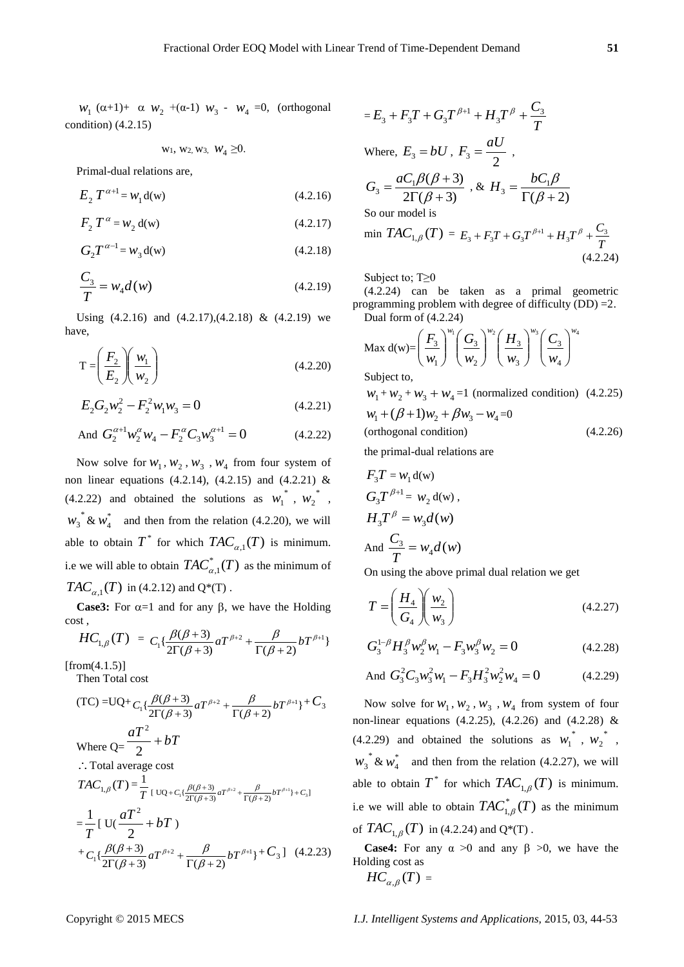*w*<sub>1</sub> (α+1)+ α *w*<sub>2</sub> +(α-1) *w*<sub>3</sub> - *w*<sub>4</sub> =0, (orthogonal condition) (4.2.15)

$$
w_1, w_2, w_3, w_4 \geq 0.
$$

Primal-dual relations are,

$$
E_2 T^{\alpha+1} = w_1 d(w) \tag{4.2.16}
$$

$$
F_2 T^{\alpha} = w_2 d(w) \tag{4.2.17}
$$

$$
G_2 T^{\alpha - 1} = w_3 d(w) \tag{4.2.18}
$$

$$
\frac{C_3}{T} = w_4 d(w) \tag{4.2.19}
$$

Using  $(4.2.16)$  and  $(4.2.17)$ , $(4.2.18)$  &  $(4.2.19)$  we have,

$$
T = \left(\frac{F_2}{E_2}\right)\left(\frac{w_1}{w_2}\right) \tag{4.2.20}
$$

$$
E_2 G_2 w_2^2 - F_2^2 w_1 w_3 = 0 \tag{4.2.21}
$$

And 
$$
G_2^{\alpha+1} w_2^{\alpha} w_4 - F_2^{\alpha} C_3 w_3^{\alpha+1} = 0
$$
 (4.2.22)

Now solve for  $W_1$ ,  $W_2$ ,  $W_3$ ,  $W_4$  from four system of non linear equations (4.2.14), (4.2.15) and (4.2.21) & (4.2.22) and obtained the solutions as  $w_1^*$ ,  $w_2^*$ ,  $w_3^*$  &  $w_4^*$  and then from the relation (4.2.20), we will able to obtain  $T^*$  for which  $TAC_{\alpha,1}(T)$  is minimum. i.e we will able to obtain  $TAC_{\alpha,1}^*(T)$  as the minimum of  $TAC_{\alpha,1}(T)$  in (4.2.12) and Q\*(T).

**Case3:** For  $\alpha=1$  and for any  $\beta$ , we have the Holding cost ,

$$
HC_{1,\beta}(T) = C_1 \{\frac{\beta(\beta+3)}{2\Gamma(\beta+3)} aT^{\beta+2} + \frac{\beta}{\Gamma(\beta+2)} bT^{\beta+1}\}
$$

 $[from (4.1.5)]$ Then Total cost

(TC) = UQ+
$$
C_1\{\frac{\beta(\beta+3)}{2\Gamma(\beta+3)}aT^{\beta+2} + \frac{\beta}{\Gamma(\beta+2)}bT^{\beta+1}\} + C_3
$$
  
\nWhere Q= $\frac{aT^2}{2} + bT$   
\n $\therefore$  Total average cost  
\n $TAC_{1,\beta}(T) = \frac{1}{T} \Big[ \Big[ \frac{\beta(\beta+3)}{\Gamma(\beta+3)} aT^{\beta+2} + \frac{\beta}{\Gamma(\beta+2)} bT^{\beta+1} \Big] + C_3 \Big]$   
\n $= \frac{1}{T} \Big[ \Big[ \frac{aT^2}{2} + bT \Big] \Big]$ 

$$
+ C_1 \left\{ \frac{\beta(\beta+3)}{2\Gamma(\beta+3)} aT^{\beta+2} + \frac{\beta}{\Gamma(\beta+2)} bT^{\beta+1} \right\} + C_3 \left[ (4.2.23) \right]
$$

$$
= E_3 + F_3T + G_3T^{\beta+1} + H_3T^{\beta} + \frac{C_3}{T}
$$
  
Where,  $E_3 = bU$ ,  $F_3 = \frac{aU}{2}$ ,  

$$
G_3 = \frac{aC_1\beta(\beta+3)}{2\Gamma(\beta+3)}
$$
, &  $H_3 = \frac{bC_1\beta}{\Gamma(\beta+2)}$   
So our model is  
min  $TAC_{1,\beta}(T) = E_3 + F_3T + G_3T^{\beta+1} + H_3T^{\beta} +$ 

Subject to; T≥0

(4.2.24) can be taken as a primal geometric programming problem with degree of difficulty (DD) =2. Dual form of (4.2.24)

Max d(w)=
$$
\left(\frac{F_3}{w_1}\right)^{w_1} \left(\frac{G_3}{w_2}\right)^{w_2} \left(\frac{H_3}{w_3}\right)^{w_3} \left(\frac{C_3}{w_4}\right)^{w_4}
$$
  
Subject to

Subject to,

$$
w_1 + w_2 + w_3 + w_4 = 1
$$
 (normalized condition) (4.2.25)  

$$
w_1 + (\beta + 1)w_2 + \beta w_3 - w_4 = 0
$$
  
(orthogonal condition) (4.2.26)

the primal-dual relations are

$$
F_3T = w_1 d(w)
$$
  
\n
$$
G_3T^{\beta+1} = w_2 d(w),
$$
  
\n
$$
H_3T^{\beta} = w_3d(w)
$$
  
\nAnd 
$$
\frac{C_3}{T} = w_4d(w)
$$

On using the above primal dual relation we get

$$
T = \left(\frac{H_4}{G_4}\right)\left(\frac{w_2}{w_3}\right) \tag{4.2.27}
$$

$$
G_3^{1-\beta}H_3^{\beta}w_2^{\beta}w_1 - F_3w_3^{\beta}w_2 = 0
$$
 (4.2.28)

And 
$$
G_3^2 C_3 w_3^2 w_1 - F_3 H_3^2 w_2^2 w_4 = 0
$$
 (4.2.29)

Now solve for  $W_1, W_2, W_3, W_4$  from system of four non-linear equations (4.2.25), (4.2.26) and (4.2.28) & (4.2.29) and obtained the solutions as  $w_1^*$ ,  $w_2^*$ ,  $w_3^*$  &  $w_4^*$  and then from the relation (4.2.27), we will able to obtain  $T^*$  for which  $TAC_{1,\beta}(T)$  is minimum. i.e we will able to obtain  $TAC^*_{1,\beta}(T)$  as the minimum of  $TAC_{1,\beta}(T)$  in (4.2.24) and Q\*(T).

**Case4:** For any  $\alpha > 0$  and any  $\beta > 0$ , we have the Holding cost as  $HC_{\alpha,\beta}(T) =$ 

*T C* 3

(4.2.24)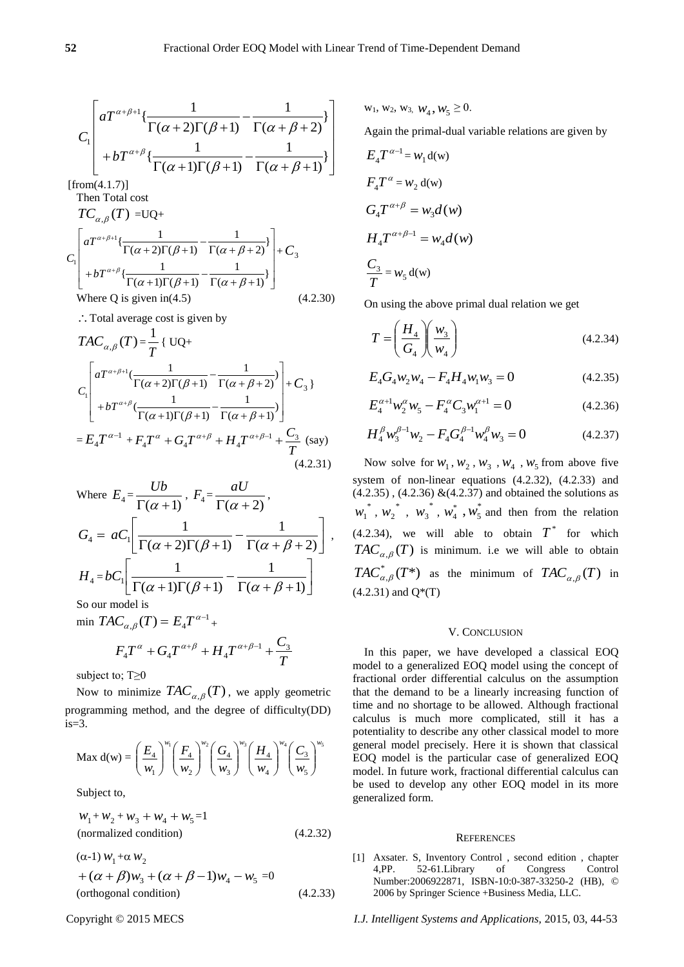$$
C_1 \left[ aT^{\alpha+\beta+1} \left\{ \frac{1}{\Gamma(\alpha+2)\Gamma(\beta+1)} - \frac{1}{\Gamma(\alpha+\beta+2)} \right\} + bT^{\alpha+\beta} \left\{ \frac{1}{\Gamma(\alpha+1)\Gamma(\beta+1)} - \frac{1}{\Gamma(\alpha+\beta+1)} \right\} \right] \xrightarrow{W} B
$$

 $[from (4.1.7)]$ Then Total cost

$$
TC_{\alpha,\beta}(T) = UQ+
$$
  
\n
$$
C_1 \left[ aT^{\alpha+\beta+1} \left\{ \frac{1}{\Gamma(\alpha+2)\Gamma(\beta+1)} - \frac{1}{\Gamma(\alpha+\beta+2)} \right\} + C_3 + bT^{\alpha+\beta} \left\{ \frac{1}{\Gamma(\alpha+1)\Gamma(\beta+1)} - \frac{1}{\Gamma(\alpha+\beta+1)} \right\} \right] + C_3
$$
  
\nWhere Q is given in (4.5) (4.2.30)

∴ Total average cost is given by

$$
TAC_{\alpha,\beta}(T) = \frac{1}{T} \{ UQ +
$$
  
\n
$$
C_1 \begin{bmatrix} aT^{\alpha+\beta+1} (\frac{1}{\Gamma(\alpha+2)\Gamma(\beta+1)} - \frac{1}{\Gamma(\alpha+\beta+2)}) \\ + bT^{\alpha+\beta} (\frac{1}{\Gamma(\alpha+1)\Gamma(\beta+1)} - \frac{1}{\Gamma(\alpha+\beta+1)}) \end{bmatrix} + C_3 \}
$$
  
\n
$$
= E_4 T^{\alpha-1} + F_4 T^{\alpha} + G_4 T^{\alpha+\beta} + H_4 T^{\alpha+\beta-1} + \frac{C_3}{T} \text{ (say)}
$$
\n(4.2.31)

Where 
$$
E_4 = \frac{Ub}{\Gamma(\alpha+1)}, F_4 = \frac{aU}{\Gamma(\alpha+2)},
$$
  
\n $G_4 = aC_1 \left[ \frac{1}{\Gamma(\alpha+2)\Gamma(\beta+1)} - \frac{1}{\Gamma(\alpha+\beta+2)} \right],$   
\n $H_4 = bC_1 \left[ \frac{1}{\Gamma(\alpha+1)\Gamma(\beta+1)} - \frac{1}{\Gamma(\alpha+\beta+1)} \right]$   
\nSo our model is

min  $TAC_{\alpha,\beta}(T) = E_4 T^{\alpha-1}$  $E_4 T^{\alpha - 1}$  +

$$
F_4T^{\alpha}+G_4T^{\alpha+\beta}+H_4T^{\alpha+\beta-1}+\frac{C_3}{T}
$$

subject to; T≥0

Now to minimize  $TAC_{\alpha,\beta}(T)$ , we apply geometric programming method, and the degree of difficulty(DD)  $is=3$ .

$$
\text{Max d}(w) = \left(\frac{E_4}{w_1}\right)^{w_1} \left(\frac{F_4}{w_2}\right)^{w_2} \left(\frac{G_4}{w_3}\right)^{w_3} \left(\frac{H_4}{w_4}\right)^{w_4} \left(\frac{C_3}{w_5}\right)^{w_5}
$$

Subject to,

$$
w_1 + w_2 + w_3 + w_4 + w_5 = 1
$$
  
(normalized condition) (4.2.32)

$$
(\alpha-1) w_1 + \alpha w_2
$$
  
+  $(\alpha + \beta) w_3 + (\alpha + \beta - 1) w_4 - w_5 = 0$   
(orthogonal condition) (4.2.33)

 $w_1, w_2, w_3, w_4, w_5 \ge 0.$ 

Again the primal-dual variable relations are given by

$$
E_4 T^{\alpha-1} = w_1 d(w)
$$
  
\n
$$
F_4 T^{\alpha} = w_2 d(w)
$$
  
\n
$$
G_4 T^{\alpha+\beta} = w_3 d(w)
$$
  
\n
$$
H_4 T^{\alpha+\beta-1} = w_4 d(w)
$$
  
\n
$$
\frac{C_3}{T} = w_5 d(w)
$$

On using the above primal dual relation we get

$$
T = \left(\frac{H_4}{G_4}\right)\left(\frac{w_3}{w_4}\right) \tag{4.2.34}
$$

$$
E_4 G_4 w_2 w_4 - F_4 H_4 w_1 w_3 = 0 \tag{4.2.35}
$$

$$
E_4^{\alpha+1} w_2^{\alpha} w_5 - F_4^{\alpha} C_3 w_1^{\alpha+1} = 0
$$
 (4.2.36)

$$
H_4^{\beta} w_3^{\beta - 1} w_2 - F_4 G_4^{\beta - 1} w_4^{\beta} w_3 = 0
$$
 (4.2.37)

Now solve for  $W_1, W_2, W_3, W_4, W_5$  from above five system of non-linear equations (4.2.32), (4.2.33) and  $(4.2.35)$ ,  $(4.2.36)$  & $(4.2.37)$  and obtained the solutions as  $w_1^*$ ,  $w_2^*$ ,  $w_3^*$ ,  $w_4^*$ ,  $w_5^*$  $, w_5^*$  and then from the relation  $(4.2.34)$ , we will able to obtain  $T^*$  for which  $TAC_{\alpha,\beta}(T)$  is minimum. i.e we will able to obtain  $TAC_{\alpha,\beta}^*(T^*)$  as the minimum of  $TAC_{\alpha,\beta}(T)$  in  $(4.2.31)$  and  $Q^*(T)$ 

#### V. CONCLUSION

In this paper, we have developed a classical EOQ model to a generalized EOQ model using the concept of fractional order differential calculus on the assumption that the demand to be a linearly increasing function of time and no shortage to be allowed. Although fractional calculus is much more complicated, still it has a potentiality to describe any other classical model to more general model precisely. Here it is shown that classical EOQ model is the particular case of generalized EOQ model. In future work, fractional differential calculus can be used to develop any other EOQ model in its more generalized form.

#### **REFERENCES**

[1] Axsater. S, Inventory Control , second edition , chapter 4,PP. 52-61.Library of Congress Control Number:2006922871, ISBN-10:0-387-33250-2 (HB), © 2006 by Springer Science +Business Media, LLC.